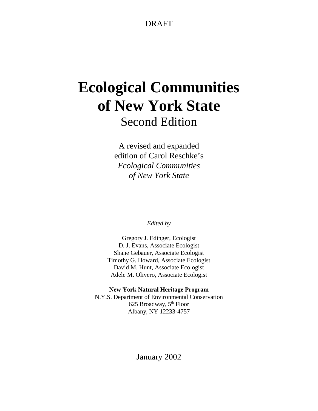DRAFT

# **Ecological Communities of New York State** Second Edition

A revised and expanded edition of Carol Reschke's *Ecological Communities of New York State*

*Edited by*

Gregory J. Edinger, Ecologist D. J. Evans, Associate Ecologist Shane Gebauer, Associate Ecologist Timothy G. Howard, Associate Ecologist David M. Hunt, Associate Ecologist Adele M. Olivero, Associate Ecologist

**New York Natural Heritage Program** N.Y.S. Department of Environmental Conservation 625 Broadway,  $5<sup>th</sup>$  Floor Albany, NY 12233-4757

January 2002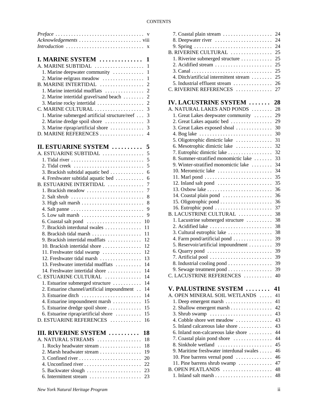| $Preface \ldots \ldots \ldots \ldots \ldots \ldots \ldots \ldots \ldots \ldots$ |                |
|---------------------------------------------------------------------------------|----------------|
|                                                                                 |                |
|                                                                                 |                |
|                                                                                 |                |
| I. MARINE SYSTEM                                                                | 1              |
| A. MARINE SUBTIDAL                                                              | 1              |
| 1. Marine deepwater community                                                   | 1              |
| 2. Marine eelgrass meadow                                                       | 1              |
| B. MARINE INTERTIDAL                                                            | $\overline{2}$ |
| 1. Marine intertidal mudflats                                                   | $\overline{2}$ |
| 2. Marine intertidal gravel/sand beach                                          | $\overline{c}$ |
| 3. Marine rocky intertidal                                                      | $\overline{c}$ |
| C. MARINE CULTURAL                                                              | 3              |
| 1. Marine submerged artificial structure/reef                                   | 3              |
| 2. Marine dredge spoil shore                                                    | 3              |
| 3. Marine riprap/artificial shore                                               | 3              |
| D. MARINE REFERENCES                                                            | $\overline{4}$ |
|                                                                                 |                |
| <b>II. ESTUARINE SYSTEM </b>                                                    | 5              |
| A. ESTUARINE SUBTIDAL                                                           | 5              |
|                                                                                 | 5              |
|                                                                                 | 5              |
| 3. Brackish subtidal aquatic bed                                                | 6              |
| 4. Freshwater subtidal aquatic bed                                              | 6              |
| B. ESTUARINE INTERTIDAL                                                         | 7              |
| 1. Brackish meadow                                                              | 7              |
|                                                                                 | 8              |
|                                                                                 | 8              |
| 4. Salt panne                                                                   | 9              |
| 5. Low salt marsh $\dots \dots \dots \dots \dots \dots \dots$                   | 9              |
| 6. Coastal salt pond $\dots \dots \dots \dots \dots \dots$                      | 10             |
| 7. Brackish interdunal swales                                                   | 11             |
| 8. Brackish tidal marsh                                                         | 11             |
| 9. Brackish intertidal mudflats                                                 | 12             |
| 10. Brackish intertidal shore                                                   | 12             |
| 11. Freshwater tidal swamp                                                      | 12             |
| 12. Freshwater tidal marsh                                                      | 13             |
| 13. Freshwater intertidal mudflats                                              | 14             |
| 14. Freshwater intertidal shore                                                 | 14             |
| C. ESTUARINE CULTURAL<br>.                                                      | 14             |
| 1. Estuarine submerged structure                                                | 14             |
| 2. Estuarine channel/artificial impoundment                                     | 14             |
| 3. Estuarine ditch                                                              | 14             |
| 4. Estuarine impoundment marsh                                                  | 15             |
| 5. Estuarine dredge spoil shore                                                 | 15             |
| 6. Estuarine riprap/artificial shore                                            | 15             |
| <b>D. ESTUARINE REFERENCES</b><br>.                                             | 16             |
|                                                                                 |                |
| <b>III. RIVERINE SYSTEM </b>                                                    | 18             |
| A. NATURAL STREAMS                                                              | 18             |
| 1. Rocky headwater stream                                                       | 18             |
| 2. Marsh headwater stream                                                       | 19             |
|                                                                                 | 20             |
|                                                                                 | 22             |
| 5. Backwater slough                                                             | 23             |
|                                                                                 | 23             |
|                                                                                 |                |

| 7. Coastal plain stream<br>8. Deepwater river | 24<br>24 |
|-----------------------------------------------|----------|
|                                               | 24       |
| B. RIVERINE CULTURAL                          | 25       |
| 1. Riverine submerged structure               | 25       |
| 2. Acidified stream                           | 25       |
|                                               | 25       |
| 4. Ditch/artificial intermittent stream       | 25       |
| 5. Industrial effluent stream                 | 26       |
| C. RIVERINE REFERENCES                        | 27       |
|                                               |          |
| <b>IV. LACUSTRINE SYSTEM </b>                 | 28       |
| A. NATURAL LAKES AND PONDS                    | 28       |
| 1. Great Lakes deepwater community            | 29       |
| 2. Great Lakes aquatic bed                    | 29       |
| 3. Great Lakes exposed shoal                  | 30       |
| 4. Bog lake                                   | 30       |
| 5. Oligotrophic dimictic lake                 | 31       |
| 6. Mesotrophic dimictic lake                  | 32       |
| 7. Eutrophic dimictic lake                    | 32       |
| 8. Summer-stratified monomictic lake          | 33       |
| 9. Winter-stratified monomictic lake          | 34       |
| 10. Meromictic lake                           | 34       |
|                                               | 35       |
| 12. Inland salt pond                          | 35       |
|                                               | 36       |
| 14. Coastal plain pond                        | 36       |
|                                               | 36       |
| 16. Eutrophic pond                            | 37       |
| B. LACUSTRINE CULTURAL                        | 38       |
| 1. Lacustrine submerged structure             | 38       |
| 2. Acidified lake                             | 38       |
| 3. Cultural eutrophic lake                    | 38       |
| 4. Farm pond/artificial pond                  | 39       |
| 5. Reservoir/artificial impoundment           | 39       |
| 6. Quarry pond                                | 39       |
| 7. Artificial pool                            | 39       |
| 8. Industrial cooling pond                    | 39       |
| 9. Sewage treatment pond                      | 39       |
| C. LACUSTRINE REFERENCES                      | 40       |
|                                               |          |
| <b>V. PALUSTRINE SYSTEM</b>                   | 41       |
| A. OPEN MINERAL SOIL WETLANDS                 | 41       |
| 1. Deep emergent marsh                        | 41       |
| 2. Shallow emergent marsh                     | 42       |
| 3. Shrub swamp                                | 43       |
| 4. Cobble shore wet meadow                    | 43       |
| 5. Inland calcareous lake shore               | 43       |
| 6. Inland non-calcareous lake shore           | 44       |
| 7. Coastal plain pond shore                   | 44       |
| 8. Sinkhole wetland                           | 45       |
| 9. Maritime freshwater interdunal swales      | 46       |
| 10. Pine barrens vernal pond                  | 46       |
| 11. Pine barrens shrub swamp                  | 47       |
| B. OPEN PEATLANDS                             | 48       |
|                                               | 48       |
|                                               |          |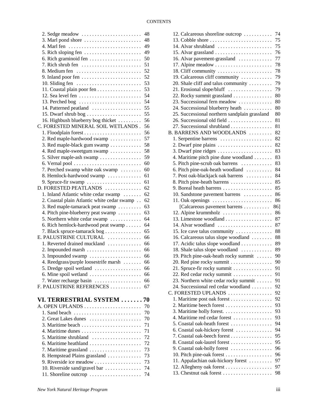| 2. Sedge meadow                                                   | 48       |
|-------------------------------------------------------------------|----------|
| 3. Marl pond shore $\dots \dots \dots \dots \dots \dots$          | 48       |
|                                                                   | 49       |
| 5. Rich sloping fen                                               | 49       |
| 6. Rich graminoid fen                                             | 50       |
| 7. Rich shrub fen $\dots \dots \dots \dots \dots \dots$           | 51       |
| 8. Medium fen                                                     | 52       |
| 9. Inland poor fen $\dots \dots \dots \dots \dots \dots$          | 52       |
| 10. Sliding fen                                                   | 53       |
| 11. Coastal plain poor fen                                        | 53       |
| 12. Sea level fen                                                 | 54       |
| 13. Perched bog                                                   | 54       |
| 14. Patterned peatland                                            | 55       |
| 15. Dwarf shrub bog $\ldots$                                      | 55       |
| 16. Highbush blueberry bog thicket                                | 56       |
| C. FORESTED MINERAL SOIL WETLANDS.                                | 56       |
|                                                                   | 56       |
| 2. Red maple-hardwood swamp                                       | 57       |
| 3. Red maple-black gum swamp                                      | 58       |
| 4. Red maple-sweetgum swamp                                       | 58       |
| 5. Silver maple-ash swamp                                         | 59       |
| 6. Vernal pool $\ldots \ldots \ldots \ldots \ldots \ldots \ldots$ | 60       |
| 7. Perched swamp white oak swamp                                  | 60       |
| 8. Hemlock-hardwood swamp                                         | 61       |
| 9. Spruce-fir swamp $\ldots \ldots \ldots \ldots \ldots \ldots$   | 61       |
| D. FORESTED PEATLANDS                                             | 62       |
| 1. Inland Atlantic white cedar swamp                              | 62       |
| 2. Coastal plain Atlantic white cedar swamp                       | 62       |
| 3. Red maple-tamarack peat swamp                                  | 63       |
| 4. Pitch pine-blueberry peat swamp                                | 63       |
| 5. Northern white cedar swamp                                     | 64       |
|                                                                   |          |
|                                                                   |          |
| 6. Rich hemlock-hardwood peat swamp                               | 64       |
| 7. Black spruce-tamarack bog                                      | 65       |
| E. PALUSTRINE CULTURAL                                            | 66       |
| 1. Reverted drained muckland                                      | 66       |
| 2. Impounded marsh                                                | 66       |
| 3. Impounded swamp                                                | 66<br>66 |
| 4. Reedgrass/purple loosestrife marsh                             |          |
| 5. Dredge spoil wetland                                           | 66<br>66 |
| 6. Mine spoil wetland                                             | 66       |
| 7. Water recharge basin                                           | 67       |
| F. PALUSTRINE REFERENCES                                          |          |
| VI. TERRESTRIAL SYSTEM 70                                         |          |
|                                                                   | 70       |
| 1. Sand beach                                                     | 70       |
| 2. Great Lakes dunes                                              | 70       |
|                                                                   | 71       |
| 4. Maritime dunes                                                 | 71       |
| 5. Maritime shrubland                                             | 72       |
| 6. Maritime heathland                                             | 72       |
|                                                                   | 73       |
| 8. Hempstead Plains grassland                                     | 73       |
| 9. Riverside ice meadow                                           | 73       |
| 10. Riverside sand/gravel bar                                     | 74       |

| 12. Calcareous shoreline outcrop              | 74  |
|-----------------------------------------------|-----|
| 13. Cobble shore                              | 75  |
| 14. Alvar shrubland                           | 75  |
|                                               | 76  |
| 16. Alvar pavement-grassland                  | 77  |
| 17. Alpine meadow                             | 78  |
| 18. Cliff community                           | 78  |
| 19. Calcareous cliff community                | 79  |
| 20. Shale cliff and talus community           | 79  |
| 21. Erosional slope/bluff                     | 79  |
| 22. Rocky summit grassland                    | 80  |
| 23. Successional fern meadow                  | 80  |
| 24. Successional blueberry heath              | 80  |
| 25. Successional northern sandplain grassland | 80  |
| 26. Successional old field                    | 81  |
| 27. Successional shrubland                    | 81  |
| B. BARRENS AND WOODLANDS                      | 82  |
| 1. Serpentine barrens                         | 82  |
| 2. Dwarf pine plains                          | 82  |
| 3. Dwarf pine ridges                          | 83  |
| 4. Maritime pitch pine dune woodland          | 83  |
| 5. Pitch pine-scrub oak barrens               | 83  |
| 6. Pitch pine-oak-heath woodland              | 84  |
| 7. Post oak-blackjack oak barrens             | 84  |
| 8. Pitch pine-heath barrens                   | 85  |
|                                               | 85  |
| 10. Sandstone pavement barrens                | 86  |
| 11. Oak openings                              | 86  |
| [Calcareous pavement barrens                  | 86] |
| 12. Alpine krummholz                          | 86  |
| 13. Limestone woodland                        | 87  |
| 14. Alvar woodland                            | 87  |
| 15. Ice cave talus community                  | 88  |
| 16. Calcareous talus slope woodland           | 88  |
| 17. Acidic talus slope woodland               | 89  |
| 18. Shale talus slope woodland                | 89  |
| 19. Pitch pine-oak-heath rocky summit         | 90  |
| 20. Red pine rocky summit                     | 90  |
| 21. Spruce-fir rocky summit                   | 91  |
| 22. Red cedar rocky summit                    | 91  |
| 23. Northern white cedar rocky summit         | 91  |
| 24. Successional red cedar woodland           | 92  |
| C. FORESTED UPLANDS                           | 92  |
| 1. Maritime post oak forest                   | 92  |
| 2. Maritime beech forest                      | 93  |
| 3. Maritime holly forest.                     | 93  |
| 4. Maritime red cedar forest                  | 93  |
| 5. Coastal oak-heath forest                   | 94  |
| 6. Coastal oak-hickory forest                 | 94  |
| 7. Coastal oak-beech forest                   | 95  |
| 8. Coastal oak-laurel forest                  | 95  |
| 9. Coastal oak-holly forest                   | 96  |
| 10. Pitch pine-oak forest                     | 96  |
| 11. Appalachian oak-hickory forest            | 97  |
| 12. Allegheny oak forest                      | 97  |
| 13. Chestnut oak forest                       | 98  |
|                                               |     |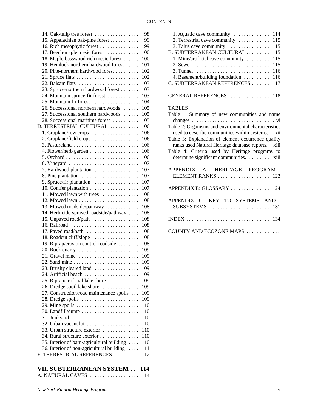| 14. Oak-tulip tree forest<br>98                   |
|---------------------------------------------------|
| 15. Appalachian oak-pine forest<br>99             |
| 16. Rich mesophytic forest<br>99                  |
| 17. Beech-maple mesic forest<br>100               |
| 18. Maple-basswood rich mesic forest<br>100       |
| 19. Hemlock-northern hardwood forest<br>101       |
| 20. Pine-northern hardwood forest<br>102          |
| 102                                               |
| 22. Balsam flats<br>103                           |
| 23. Spruce-northern hardwood forest<br>103        |
| 24. Mountain spruce-fir forest<br>103             |
| 25. Mountain fir forest<br>104                    |
| 26. Successional northern hardwoods<br>105        |
| 27. Successional southern hardwoods<br>105        |
| 28. Successional maritime forest<br>105           |
| D. TERRESTRIAL CULTURAL<br>106                    |
| 1. Cropland/row crops<br>106                      |
| 2. Cropland/field crops<br>106                    |
| 106                                               |
| 106                                               |
| 106                                               |
| 107                                               |
| 7. Hardwood plantation<br>107                     |
| 8. Pine plantation<br>107                         |
| 9. Spruce/fir plantation<br>107                   |
| 107                                               |
| 11. Mowed lawn with trees<br>108                  |
| 108                                               |
| 13. Mowed roadside/pathway<br>108                 |
| 14. Herbicide-sprayed roadside/pathway<br>108     |
| 15. Unpaved road/path<br>108                      |
| 16. Railroad<br>108                               |
| 17. Paved road/path<br>108                        |
| 18. Roadcut cliff/slope<br>108                    |
| 19. Riprap/erosion control roadside<br>108        |
| 20. Rock quarry<br>109                            |
| 21. Gravel mine<br>109                            |
| 22. Sand mine<br>109                              |
| 23. Brushy cleared land<br>109                    |
| 24. Artificial beach<br>109                       |
| 25. Riprap/artificial lake shore<br>109           |
| 26. Dredge spoil lake shore<br>109                |
| 27. Construction/road maintenance spoils<br>109   |
| 28. Dredge spoils<br>109                          |
| 29. Mine spoils<br>110                            |
| 110                                               |
| 110                                               |
| 32. Urban vacant lot<br>110                       |
| 33. Urban structure exterior<br>110               |
| 34. Rural structure exterior<br>110               |
| 35. Interior of barn/agricultural building<br>110 |
| 36. Interior of non-agricultural building<br>111  |
| E. TERRESTRIAL REFERENCES<br>112                  |
|                                                   |
| VII. SUBTERRANEAN SYSTEM<br>114                   |
| A. NATURAL CAVES<br>114                           |
|                                                   |

| 114<br>1. Aquatic cave community<br>2. Terrestrial cave community<br>115<br>3. Talus cave community<br>115<br>B. SUBTERRANEAN CULTURAL<br>115                    |  |
|------------------------------------------------------------------------------------------------------------------------------------------------------------------|--|
| 1. Mine/artificial cave community<br>115<br>115<br>116<br>4. Basement/building foundation<br>116                                                                 |  |
| C. SUBTERRANEAN REFERENCES<br>117                                                                                                                                |  |
| GENERAL REFERENCES  118                                                                                                                                          |  |
| <b>TABLES</b>                                                                                                                                                    |  |
| Table 1: Summary of new communities and name                                                                                                                     |  |
| Table 2: Organisms and environmental characteristics<br>used to describe communities within systems. . xii<br>Table 3: Explanation of element occurrence quality |  |
| ranks used Natural Heritage database reports. . xiii<br>Table 4: Criteria used by Heritage programs to<br>determine significant communities.  xiii               |  |
| APPENDIX A: HERITAGE PROGRAM<br>ELEMENT RANKS  123                                                                                                               |  |
| APPENDIX B: GLOSSARY  124                                                                                                                                        |  |
| APPENDIX C: KEY TO SYSTEMS AND<br>SUBSYSTEMS<br>131                                                                                                              |  |

| 134 |  |
|-----|--|
|-----|--|

COUNTY AND ECOZONE MAPS .............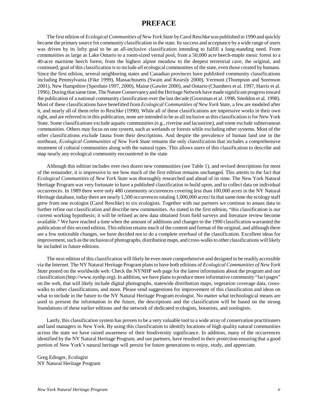# **PREFACE**

The first edition of *Ecological Communities of New York State* by Carol Reschke was published in 1990 and quickly became the primary source for community classification in the state. Its success and acceptance by a wide range of users was driven by its lofty goal to be an all-inclusive classification intending to fulfill a long-standing need. From communities as large as Lake Ontario to a room-sized vernal pool, from a 50,000 acre beech-maple mesic forest to a 40-acre maritime beech forest, from the highest alpine meadow to the deepest terrestrial cave, the original, and continued, goal of this classification is to include *all* ecological communities of the state, even those created by humans. Since the first edition, several neighboring states and Canadian provinces have published community classifications including Pennsylvania (Fike 1999), Massachusetts (Swain and Kearsly 2000), Vermont (Thompson and Sorenson 2001), New Hampshire (Sperduto 1997, 2000), Maine (Gawler 2000), and Ontario (Chambers et al. 1997, Harris et al. 1996). During that same time, The Nature Conservancy and the Heritage Network have made significant progress toward the publication of a national community classification over the last decade (Grossman et al. 1998, Sneddon et al. 1998). Most of these classifications have benefitted from *Ecological Communities of New York State*, a few are modeled after it, and nearly all of them refer to Reschke (1990). While all of these classifications are impressive works in their own right, and are referred to in this publication, none are intended to be as all inclusive as this classification is for New York State. Some classifications exclude aquatic communities (e.g., riverine and lacustrine), and some exclude subterranean communities. Others may focus on one system, such as wetlands or forests while excluding other systems. Most of the other classifications exclude fauna from their descriptions. And despite the prevalence of human land use in the northeast, *Ecological Communities of New York State* remains the only classification that includes a comprehensive treatment of cultural communities along with the natural types. This allows users of this classification to describe and map nearly any ecological community encountered in the state.

Although this edition includes over two dozen new communities (see Table 1), and revised descriptions for most of the remainder, it is impressive to see how much of the first edition remains unchanged. This attests to the fact that *Ecological Communities of New York State* was thoroughly researched and ahead of its time. The New York Natural Heritage Program was very fortunate to have a published classification to build upon, and to collect data on individual occurrences. In 1989 there were only 480 community occurrences covering less than 100,000 acres in the NY Natural Heritage database, today there are nearly 1,500 occurrences totaling 1,000,000 acres! In that same time the ecology staff grew from one ecologist (Carol Reschke) to six ecologists. Together with our partners we continue to amass data to further refine our classification and describe new communities. As stated in the first edition, "this classification is our current working hypothesis; it will be refined as new data obtained from field surveys and literature review become available." We have reached a time when the amount of additions and changes to the 1990 classification warranted the publication of this second edition. This edition retains much of the content and format of the original, and although there are a few noticeable changes, we have decided not to do a complete overhaul of the classification. Excellent ideas for improvement, such as the inclusion of photographs, distribution maps, and cross-walks to other classifications will likely be included in future editions.

The next edition of this classification will likely be even more comprehensive and designed to be readily accessible via the Internet. The NY Natural Heritage Program plans to have both editions of *Ecological Communities of New York State* posted on the worldwide web. Check the NYNHP web page for the latest information about the program and our classification (http://www.nynhp.org). In addition, we have plans to produce more informative community "fact pages" on the web, that will likely include digital photographs, statewide distribution maps, vegetation coverage data, crosswalks to other classifications, and more. Please send suggestions for improvement of this classification and ideas on what to include in the future to the NY Natural Heritage Program ecologist. No matter what technological means are used to present the information in the future, the descriptions and the classification will be based on the strong foundations of these earlier editions and the network of dedicated ecologists, botanists, and zoologists.

Lastly, this classification system has proven to be a very valuable tool to a wide array of conservation practitioners and land managers in New York. By using this classification to identify locations of high quality natural communities across the state we have raised awareness of their biodiversity significance. In addition, many of the occurrences identified by the NY Natural Heritage Program, and our partners, have resulted in their protection ensuring that a good portion of New York's natural heritage will persist for future generations to enjoy, study, and appreciate.

Greg Edinger, Ecologist NY Natural Heritage Program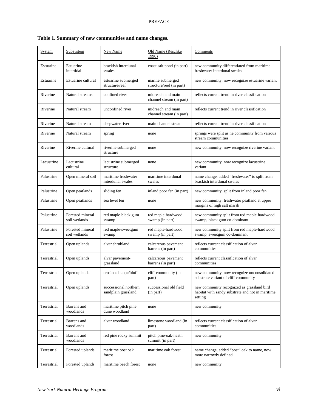| System      | Subsystem                         | New Name                                     | Old Name (Reschke<br>1990)                    | Comments                                                                                                  |
|-------------|-----------------------------------|----------------------------------------------|-----------------------------------------------|-----------------------------------------------------------------------------------------------------------|
| Estuarine   | Estuarine<br>intertidal           | brackish interdunal<br>swales                | coast salt pond (in part)                     | new community differentiated from maritime<br>freshwater interdunal swales                                |
| Estuarine   | Estuarine cultural                | estuarine submerged<br>structure/reef        | marine submerged<br>structure/reef (in part)  | new community, now recognize estuarine variant                                                            |
| Riverine    | Natural streams                   | confined river                               | midreach and main<br>channel stream (in part) | reflects current trend in river classification                                                            |
| Riverine    | Natural stream                    | unconfined river                             | midreach and main<br>channel stream (in part) | reflects current trend in river classification                                                            |
| Riverine    | Natural stream                    | deepwater river                              | main channel stream                           | reflects current trend in river classification                                                            |
| Riverine    | Natural stream                    | spring                                       | none                                          | springs were split as ne community from various<br>stream communities                                     |
| Riverine    | Riverine cultural                 | riverine submerged<br>structure              | none                                          | new community, now recognize riverine variant                                                             |
| Lacustrine  | Lacustrine<br>cultural            | lacustrine submerged<br>structure            | none                                          | new community, now recognize lacustrine<br>variant                                                        |
| Palustrine  | Open mineral soil                 | maritime freshwater<br>interdunal swales     | maritime interdunal<br>swales                 | name change, added "freshwater" to split from<br>brackish interdunal swales                               |
| Palustrine  | Open peatlands                    | sliding fen                                  | inland poor fen (in part)                     | new community, split from inland poor fen                                                                 |
| Palustrine  | Open peatlands                    | sea level fen                                | none                                          | new community, freshwater peatland at upper<br>margins of high salt marsh                                 |
| Palustrine  | Forested mineral<br>soil wetlands | red maple-black gum<br>swamp                 | red maple-hardwood<br>swamp (in part)         | new community split from red maple-hardwood<br>swamp, black gum co-dominant                               |
| Palustrine  | Forested mineral<br>soil wetlands | red maple-sweetgum<br>swamp                  | red maple-hardwood<br>swamp (in part)         | new community split from red maple-hardwood<br>swamp, sweetgum co-dominant                                |
| Terrestrial | Open uplands                      | alvar shrubland                              | calcareous pavement<br>barrens (in part)      | reflects current classification of alvar<br>communities                                                   |
| Terrestrial | Open uplands                      | alvar pavement-<br>grassland                 | calcareous pavement<br>barrens (in part)      | reflects current classification of alvar<br>communities                                                   |
| Terrestrial | Open uplands                      | erosional slope/bluff                        | cliff community (in<br>part)                  | new community, now recognize unconsolidated<br>substrate variant of cliff community                       |
| Terrestrial | Open uplands                      | successional northern<br>sandplain grassland | successional old field<br>(in part)           | new community recognized as grassland bird<br>habitat with sandy substrate and not in maritime<br>setting |
| Terrestrial | Barrens and<br>woodlands          | maritime pitch pine<br>dune woodland         | none                                          | new community                                                                                             |
| Terrestrial | Barrens and<br>woodlands          | alvar woodland                               | limestone woodland (in<br>part)               | reflects current classification of alvar<br>communities                                                   |
| Terrestrial | Barrens and<br>woodlands          | red pine rocky summit                        | pitch pine-oak-heath<br>summit (in part)      | new community                                                                                             |
| Terrestrial | Forested uplands                  | maritime post oak<br>forest                  | maritime oak forest                           | name change, added "post" oak to name, now<br>more narrowly defined                                       |
| Terrestrial | Forested uplands                  | maritime beech forest                        | none                                          | new community                                                                                             |

| Table 1. Summary of new communities and name changes. |  |
|-------------------------------------------------------|--|
|-------------------------------------------------------|--|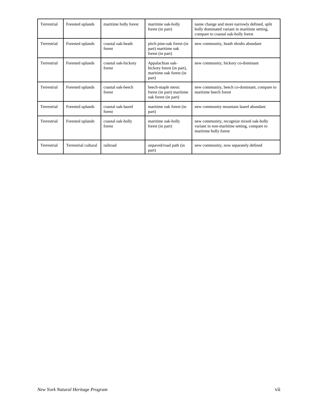| Terrestrial | Forested uplands     | maritime holly forest         | maritime oak-holly<br>forest (in part)                                            | name change and more narrowly defined, split<br>holly dominated variant in maritime setting,<br>compare to coastal oak-holly forest |
|-------------|----------------------|-------------------------------|-----------------------------------------------------------------------------------|-------------------------------------------------------------------------------------------------------------------------------------|
| Terrestrial | Forested uplands     | coastal oak-heath<br>forest   | pitch pine-oak forest (in<br>part) maritime oak<br>forest (in part)               | new community, heath shrubs abundant                                                                                                |
| Terrestrial | Forested uplands     | coastal oak-hickory<br>forest | Appalachian oak-<br>hickory forest (in part),<br>maritime oak forest (in<br>part) | new community, hickory co-dominant                                                                                                  |
| Terrestrial | Forested uplands     | coastal oak-beech<br>forest   | beech-maple mesic<br>forest (in part) maritime<br>oak forest (in part)            | new community, beech co-dominant, compare to<br>maritime beech forest                                                               |
| Terrestrial | Forested uplands     | coastal oak-laurel<br>forest  | maritime oak forest (in<br>part)                                                  | new community mountain laurel abundant                                                                                              |
| Terrestrial | Forested uplands     | coastal oak-holly<br>forest   | maritime oak-holly<br>forest (in part)                                            | new community, recognize mixed oak-holly<br>variant in non-maritime setting, compare to<br>maritime holly forest                    |
| Terrestrial | Terrestrial cultural | railroad                      | unpaved/road path (in<br>part)                                                    | new community, now separately defined                                                                                               |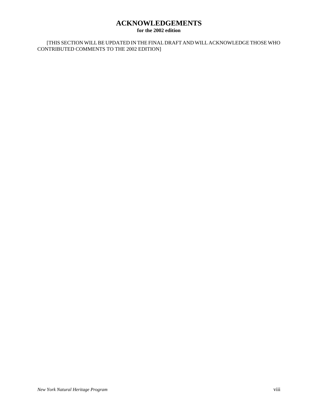# **ACKNOWLEDGEMENTS**

**for the 2002 edition**

[THIS SECTION WILL BE UPDATED IN THE FINAL DRAFT AND WILL ACKNOWLEDGE THOSE WHO CONTRIBUTED COMMENTS TO THE 2002 EDITION]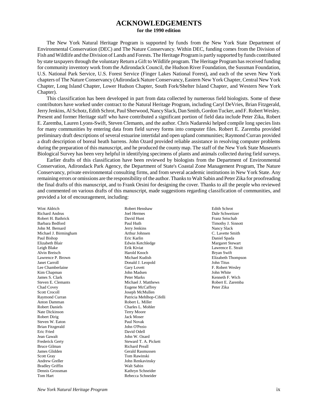# **ACKNOWLEDGEMENTS**

#### **for the 1990 edition**

The New York Natural Heritage Program is supported by funds from the New York State Department of Environmental Conservation (DEC) and The Nature Conservancy. Within DEC, funding comes from the Division of Fish and Wildlife and the Division of Lands and Forests. The Heritage Program is partly supported by funds contributed by state taxpayers through the voluntary Return a Gift to Wildlife program. The Heritage Program has received funding for community inventory work from the Adirondack Council, the Hudson River Foundation, the Sussman Foundation, U.S. National Park Service, U.S. Forest Service (Finger Lakes National Forest), and each of the seven New York chapters of The Nature Conservancy (Adirondack Nature Conservancy, Eastern New York Chapter, Central New York Chapter, Long Island Chapter, Lower Hudson Chapter, South Fork/Shelter Island Chapter, and Western New York Chapter).

This classification has been developed in part from data collected by numerous field biologists. Some of these contributors have worked under contract to the Natural Heritage Program, including Caryl DeVries, Brian Fitzgerald, Jerry Jenkins, Al Schotz, Edith Schrot, Paul Sherwood, Nancy Slack, Dan Smith, Gordon Tucker, and F. Robert Wesley. Present and former Heritage staff who have contributed a significant portion of field data include Peter Zika, Robert E. Zaremba, Lauren Lyons-Swift, Steven Clemants, and the author. Chris Nadareski helped compile long species lists for many communities by entering data from field survey forms into computer files. Robert E. Zaremba provided preliminary draft descriptions of several estuarine intertidal and open upland communities; Raymond Curran provided a draft description of boreal heath barrens. John Ozard provided reliable assistance in resolving computer problems during the preparation of this manuscript, and he produced the county map. The staff of the New York State Museum's Biological Survey has been very helpful in identifying specimens of plants and animals collected during field surveys.

Earlier drafts of this classification have been reviewed by biologists from the Department of Environmental Conservation, Adirondack Park Agency, the Department of State's Coastal Zone Management Program, The Nature Conservancy, private environmental consulting firms, and from several academic institutions in New York State. Any remaining errors or omissions are the responsibility of the author. Thanks to Walt Sabin and Peter Zika for proofreading the final drafts of this manuscript, and to Frank Orsini for designing the cover. Thanks to all the people who reviewed and commented on various drafts of this manuscript, made suggestions regarding classification of communities, and provided a lot of encouragement, including:

Wint Aldrich Richard Andrus Robert H. Bathrick Barbara Bedford John M. Bernard Michael J. Birmingham Paul Bishop Elizabeth Blair Leigh Blake Alvin Breisch Lawrence P. Brown Janet Carroll Lee Chamberlaine Kim Chapman James S. Clark Steven E. Clemants Chad Covey Scott Crocoll Raymond Curran Anton Damman Robert Daniels Nate Dickinson Robert Dirig Steven W. Eaton Brian Fitzgerald Eric Fried Jean Gawalt Frederick Gerty Bruce Gilman James Glidden Scott Gray Andrew Greller Bradley Griffin Dennis Grossman Tom Hart

Robert Henshaw Joel Hermes David Hunt Paul Huth Jerry Jenkins Arthur Johnsen Eric Karlin Edwin Ketchledge Erik Kiviat Harold Knoch Michael Kudish Donald J. Leopold Gary Lovett John Madsen Peter Marks Michael J. Matthews Eugene McCaffrey Joseph McMullen Patricia Mehlhop-Cifelli Robert L. Miller Charles L. Mohler Terry Moore Jack Moser Paul Novak John O'Pezio David Odell John W. Ozard Steward T. A. Pickett Richard Preall Gerald Rasmussen Tom Rawinski John Renkavinsky Walt Sabin Kathryn Schneider Rebecca Schneider

Edith Schrot Dale Schweitzer Franz Seischab Timothy J. Sinnott Nancy Slack C. Lavette Smith Daniel Spada Margaret Stewart Lawrence E. Strait Bryan Swift Elizabeth Thompson John Titus F. Robert Wesley John White Kenneth F. Wich Robert E. Zaremba Peter Zika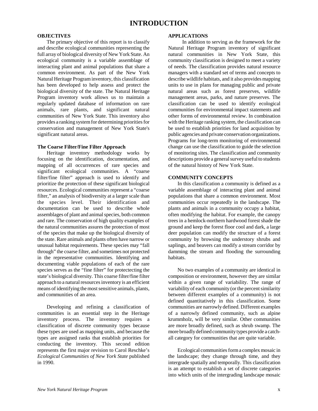#### **OBJECTIVES**

The primary objective of this report is to classify and describe ecological communities representing the full array of biological diversity of New York State. An ecological community is a variable assemblage of interacting plant and animal populations that share a common environment. As part of the New York Natural Heritage Program inventory, this classification has been developed to help assess and protect the biological diversity of the state. The Natural Heritage Program inventory work allows us to maintain a regularly updated database of information on rare animals, rare plants, and significant natural communities of New York State. This inventory also provides a ranking system for determining priorities for conservation and management of New York State's significant natural areas.

#### **The Coarse Filter/Fine Filter Approach**

Heritage inventory methodology works by focusing on the identification, documentation, and mapping of all occurrences of rare species and significant ecological communities. A "coarse filter/fine filter" approach is used to identify and prioritize the protection of these significant biological resources. Ecological communities represent a "coarse filter," an analysis of biodiversity at a larger scale than the species level. Their identification and documentation can be used to describe whole assemblages of plant and animal species, both common and rare. The conservation of high quality examples of the natural communities assures the protection of most of the species that make up the biological diversity of the state. Rare animals and plants often have narrow or unusual habitat requirements. These species may "fall through" the coarse filter, and sometimes not protected in the representative communities. Identifying and documenting viable populations of each of the rare species serves as the "fine filter" for protectecting the state's biological diversity. This coarse filter/fine filter approach to a natural resources inventory is an efficient means of identifying the most sensitive animals, plants, and communities of an area.

Developing and refining a classification of communities is an essential step in the Heritage inventory process. The inventory requires a classification of discrete community types because these types are used as mapping units, and because the types are assigned ranks that establish priorities for conducting the inventory. This second edition represents the first major revision to Carol Reschke's *Ecological Communities of New York State* published in 1990.

#### **APPLICATIONS**

In addition to serving as the framework for the Natural Heritage Program inventory of significant natural communities in New York State, this community classification is designed to meet a variety of needs. The classification provides natural resource managers with a standard set of terms and concepts to describe wildlife habitats, and it also provides mapping units to use in plans for managing public and private natural areas such as forest preserves, wildlife management areas, parks, and nature preserves. The classification can be used to identify ecological communities for environmental impact statements and other forms of environmental review. In combination with the Heritage ranking system, the classification can be used to establish priorities for land acquisition by public agencies and private conservation organizations. Programs for long-term monitoring of environmental change can use the classification to guide the selection of monitoring sites. The classification and community descriptions provide a general survey useful to students of the natural history of New York State.

# **COMMUNITY CONCEPTS**

In this classification a community is defined as a variable assemblage of interacting plant and animal populations that share a common environment. Most communities occur repeatedly in the landscape. The plants and animals in a community occupy a habitat, often modifying the habitat. For example, the canopy trees in a hemlock-northern hardwood forest shade the ground and keep the forest floor cool and dark, a large deer population can modify the structure of a forest community by browsing the understory shrubs and saplings, and beavers can modify a stream corridor by damming the stream and flooding the surrounding habitats.

No two examples of a community are identical in composition or environment, however they are similar within a given range of variability. The range of variability of each community (or the percent similarity between different examples of a community) is not defined quantitatively in this classification. Some communities are narrowly defined. Different examples of a narrowly defined community, such as alpine krummholz, will be very similar. Other communities are more broadly defined, such as shrub swamp. The more broadly defined community types provide a catchall category for communities that are quite variable.

Ecological communities form a complex mosaic in the landscape; they change through time, and they intergrade spatially and temporally. This classification is an attempt to establish a set of discrete categories into which units of the intergrading landscape mosaic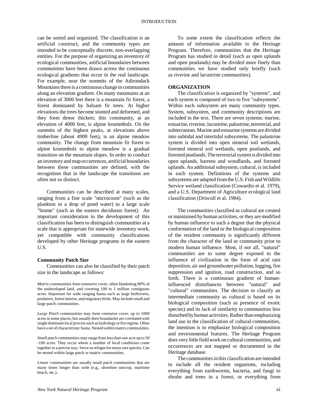can be sorted and organized. The classification is an artificial construct, and the community types are intended to be conceptually discrete, non-overlapping entities. For the purpose of organizing an inventory of ecological communities, artificial boundaries between communities have been drawn across the continuous ecological gradients that occur in the real landscape. For example, near the summits of the Adirondack Mountains there is a continuous change in communities along an elevation gradient. On many mountains at an elevation of 3000 feet there is a mountain fir forest, a forest dominated by balsam fir trees. At higher elevations the trees become stunted and deformed, and they form dense thickets; this community, at an elevation of 4000 feet, is alpine krummholz. On the summits of the highest peaks, at elevations above timberline (about 4900 feet), is an alpine meadow community. The change from mountain fir forest to alpine krummholz to alpine meadow is a gradual transition on the mountain slopes. In order to conduct an inventory and map occurrences, artificial boundaries between these communities are defined, with the recognition that in the landscape the transitions are often not so distinct.

Communities can be described at many scales, ranging from a fine scale "microcosm" (such as the plankton in a drop of pond water) to a large scale "biome" (such as the eastern deciduous forest). An important consideration in the development of this classification has been to distinguish communities at a scale that is appropriate for statewide inventory work, yet compatible with community classifications developed by other Heritage programs in the eastern U.S.

#### **Community Patch Size**

Communities can also be classified by their patch size in the landscape as follows:

*Matrix* communities form extensive cover, often blanketing 80% of the undeveloped land, and covering 100 to 1 million contiguous acres. Important for wide ranging fauna such as large herbivores, predators, forest interior, and migratory birds. May include small and large patch communities.

*Large Patch* communities may form extensive cover, up to 1000 acres in some places, but usually their boundaries are correlated with single dominant local process such as hydrology or fire regime. Often have a set of characteristic fauna. Nested within matrix communities.

*Small patch* communities may range from less than one acre up to 50 -100 acres. They occur where a number of local conditions come together in a precise way. Serve as refuges for many rare species. Can be nested within large patch or matrix communities.

*Linear* communities are usually small patch communities that are many times longer than wide (e.g., shoreline outcrop, maritime beach, etc.).

To some extent the classification reflects the amount of information available to the Heritage Program. Therefore, communities that the Heritage Program has studied in detail (such as open uplands and open peatlands) may be divided more finely than communities we have studied only briefly (such as riverine and lacustrine communities).

#### **ORGANIZATION**

The classification is organized by "systems", and each system is composed of two to five "subsystems". Within each subsystem are many community types. System, subsystem, and community descriptions are included in the text. There are seven systems: marine, estuarine, riverine, lacustrine, palustrine, terrestrial, and subterranean. Marine and estuarine systems are divided into subtidal and intertidal subsystems. The palustrine system is divided into open mineral soil wetlands, forested mineral soil wetlands, open peatlands, and forested peatlands. The terrestrial system is divided into open uplands, barrens and woodlands, and forested uplands. An additional subsystem, cultural, is included in each system. Definitions of the systems and subsystems are adapted from the U.S. Fish and Wildlife Service wetland classification (Cowardin et al. 1979), and a U.S. Department of Agriculture ecological land classification (Driscoll et al. 1984).

The communities classified as cultural are created or maintained by human activities, or they are modified by human influence to such a degree that the physical conformation of the land or the biological composition of the resident community is significantly different from the character of the land or community prior to modern human influence. Most, if not all, "natural" communities are to some degree exposed to the influence of civilization in the form of acid rain deposition, air and groundwater pollution, logging, fire suppression and ignition, road construction, and so forth. There is a continuous gradient of humaninfluenced disturbances between "natural" and "cultural" communities. The decision to classify an intermediate community as cultural is based on its biological composition (such as presence of exotic species) and its lack of similarity to communities less disturbed by human activities. Rather than emphasizing land use in the classification of cultural communities, the intention is to emphasize biological composition and environmental features. The Heritage Program does very little field work on cultural communities, and occurrences are not mapped or documented in the Heritage database.

The communities in this classification are intended to include all the resident organisms, including everything from earthworms, bacteria, and fungi to shrubs and trees in a forest, or everything from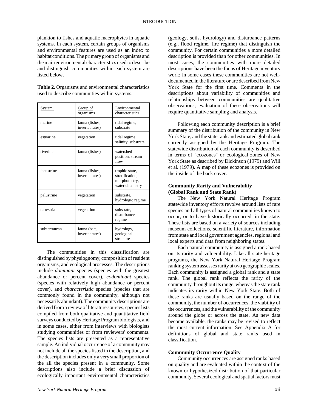plankton to fishes and aquatic macrophytes in aquatic systems. In each system, certain groups of organisms and environmental features are used as an index to habitat conditions. The primary group of organisms and the main environmental characteristics used to describe and distinguish communities within each system are listed below.

**Table 2.** Organisms and environmental characteristics used to describe communities within systems.

| System       | Environmental<br>Group of<br>characteristics<br>organisms      |                                                                      |
|--------------|----------------------------------------------------------------|----------------------------------------------------------------------|
| marine       | fauna (fishes,<br>tidal regime,<br>substrate<br>invertebrates) |                                                                      |
| estuarine    | vegetation                                                     | tidal regime,<br>salinity, substrate                                 |
| riverine     | fauna (fishes)                                                 | watershed<br>position, stream<br>flow                                |
| lacustrine   | fauna (fishes,<br>invertebrates)                               | trophic state,<br>stratification.<br>morphometry,<br>water chemistry |
| palustrine   | vegetation                                                     | substrate,<br>hydrologic regime                                      |
| terrestrial  | vegetation                                                     | substrate,<br>disturbance<br>regime                                  |
| subterranean | fauna (bats,<br>invertebrates)                                 | hydrology,<br>geological<br>structure                                |

The communities in this classification are distinguished by physiognomy, composition of resident organisms, and ecological processes. The descriptions include *dominant* species (species with the greatest abundance or percent cover), *codominant* species (species with relatively high abundance or percent cover), and *characteristic* species (species that are commonly found in the community, although not necessarily abundant). The community descriptions are derived from a review of literature sources, species lists compiled from both qualitative and quantitative field surveys conducted by Heritage Program biologists, and in some cases, either from interviews with biologists studying communities or from reviewers' comments. The species lists are presented as a representative sample. An individual occurrence of a community may not include all the species listed in the description, and the description includes only a very small proportion of the all the species present in a community. Some descriptions also include a brief discussion of ecologically important environmental characteristics

(geology, soils, hydrology) and disturbance patterns (e.g., flood regime, fire regime) that distinguish the community. For certain communities a more detailed description is provided than for other communities. In most cases, the communities with more detailed descriptions have been the focus of Heritage inventory work; in some cases these communities are not welldocumented in the literature or are described from New York State for the first time. Comments in the descriptions about variability of communities and relationships between communities are qualitative observations; evaluation of these observations will require quantitative sampling and analysis.

Following each community description is a brief summary of the distribution of the community in New York State, and the state rank and estimated global rank currently assigned by the Heritage Program. The statewide distribution of each community is described in terms of "ecozones" or ecological zones of New York State as described by Dickinson (1979) and Will et al. (1979). A map of these ecozones is provided on the inside of the back cover.

# **Community Rarity and Vulnerability (Global Rank and State Rank)**

The New York Natural Heritage Program statewide inventory efforts revolve around lists of rare species and all types of natural communities known to occur, or to have historically occurred, in the state. These lists are based on a variety of sources including museum collections, scientific literature, information from state and local government agencies, regional and local experts and data from neighboring states.

Each natural community is assigned a rank based on its rarity and vulnerability. Like all state heritage programs, the New York Natural Heritage Program ranking system assesses rarity at two geographic scales. Each community is assigned a global rank and a state rank. The global rank reflects the rarity of the community throughout its range, whereas the state rank indicates its rarity within New York State. Both of these ranks are usually based on the range of the community, the number of occurrences, the viability of the occurrences, and the vulnerability of the community around the globe or across the state. As new data become available, the ranks may be revised to reflect the most current information. See Appendix A for definitions of global and state ranks used in classification.

# **Community Occurrence Quality**

Community occurrences are assigned ranks based on quality and are evaluated within the context of the known or hypothesized distribution of that particular community. Several ecological and spatial factors must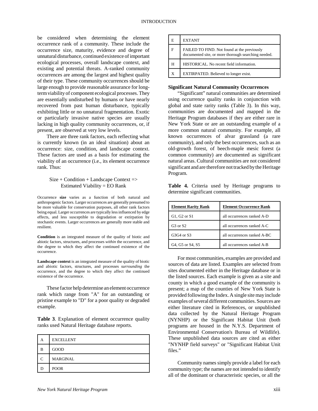be considered when determining the element occurrence rank of a community. These include the occurrence size, maturity, evidence and degree of unnatural disturbance, continued existence of important ecological processes, overall landscape context, and existing and potential threats. A-ranked community occurrences are among the largest and highest quality of their type. These community occurrences should be large enough to provide reasonable assurance for longterm viability of component ecological processes. They are essentially undisturbed by humans or have nearly recovered from past human disturbance, typically exhibiting little or no unnatural fragmentation. Exotic or particularly invasive native species are usually lacking in high quality community occurrences, or, if present, are observed at very low levels.

There are three rank factors, each reflecting what is currently known (in an ideal situation) about an occurrence: size, condition, and landscape context. These factors are used as a basis for estimating the viability of an occurrence (i.e., its element occurrence rank. Thus:

# Size + Condition + Landscape Context => Estimated Viability = EO Rank

Occurrence **size** varies as a function of both natural and anthropogenic factors. Larger occurrences are generally presumed to be more valuable for conservation purposes, all other rank factors being equal. Larger occurrences are typically less influenced by edge effects, and less susceptible to degradation or extirpation by stochastic events. Larger occurrences are generally more stable and resilient.

**Condition** is an integrated measure of the quality of biotic and abiotic factors, structures, and processes *within* the occurrence, and the degree to which they affect the continued existence of the occurrence.

**Landscape context** is an integrated measure of the quality of biotic and abiotic factors, structures, and processes *surrounding* the occurrence, and the degree to which they affect the continued existence of the occurrence.

These factor help determine an element occurrence rank which range from "A" for an outstanding or pristine example to "D" for a poor quality or degraded example.

**Table 3**. Explanation of element occurrence quality ranks used Natural Heritage database reports.

| А         | <b>EXCELLENT</b> |
|-----------|------------------|
| в         | GOOD             |
| $\subset$ | <b>MARGINAL</b>  |
| D         | <b>POOR</b>      |

| E | <b>EXTANT</b>                                                                                      |
|---|----------------------------------------------------------------------------------------------------|
| F | FAILED TO FIND. Not found at the previously<br>documented site, or more thorough searching needed. |
| н | HISTORICAL. No recent field information.                                                           |
|   | EXTIRPATED. Believed to longer exist.                                                              |

#### **Significant Natural Community Occurrences**

"Significant" natural communities are determined using occurrence quality ranks in conjunction with global and state rarity ranks (Table 3). In this way, communities are documented and mapped in the Heritage Program databases if they are either rare in New York State or are an outstanding example of a more common natural community. For example, all known occurrences of alvar grassland (a rare community), and only the best occurrences, such as an old-growth forest, of beech-maple mesic forest (a common community) are documented as significant natural areas. Cultural communities are not considered significant and are therefore not tracked by the Heritage Program.

**Table 4.** Criteria used by Heritage programs to determine significant communities.

| <b>Element Rarity Rank</b>                                         | <b>Element Occurrence Rank</b> |
|--------------------------------------------------------------------|--------------------------------|
| G1, G2 or S1                                                       | all occurrences ranked A-D     |
| $G3$ or S <sub>2</sub>                                             | all occurrences ranked A-C     |
| $G3G4$ or $S3$                                                     | all occurrences ranked A-BC    |
| G <sub>4</sub> , G <sub>5</sub> or S <sub>4</sub> , S <sub>5</sub> | all occurrences ranked A-B     |

For most communities, examples are provided and sources of data are listed. Examples are selected from sites documented either in the Heritage database or in the listed sources. Each example is given as a site and county in which a good example of the community is present; a map of the counties of New York State is provided following the Index. A single site may include examples of several different communities. Sources are either literature cited in References, or unpublished data collected by the Natural Heritage Program (NYNHP) or the Significant Habitat Unit (both programs are housed in the N.Y.S. Department of Environmental Conservation's Bureau of Wildlife). These unpublished data sources are cited as either "NYNHP field surveys" or "Significant Habitat Unit files."

Community names simply provide a label for each community type; the names are not intended to identify all of the dominant or characteristic species, or all the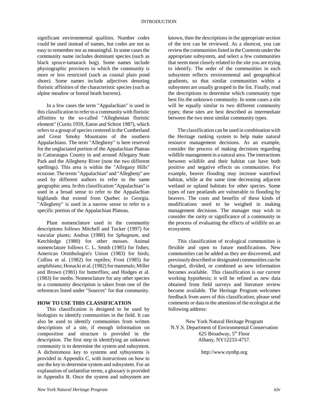significant environmental qualities. Number codes could be used instead of names, but codes are not as easy to remember nor as meaningful. In some cases the community name includes dominant species (such as black spruce-tamarack bog). Some names include physiographic provinces to which the community is more or less restricted (such as coastal plain pond shore). Some names include adjectives denoting floristic affinities of the characteristic species (such as alpine meadow or boreal heath barrens).

In a few cases the term "Appalachian" is used in this classification to refer to a community with floristic affinities to the so-called "Alleghenian floristic element" (Curtis 1959, Eaton and Schrot 1987), which refers to a group of species centered in the Cumberland and Great Smoky Mountains of the southern Appalachians. The term "Allegheny" is here reserved for the unglaciated portion of the Appalachian Plateau in Cattaraugus County in and around Allegany State Park and the Allegheny River (note the two different spellings). This area is within the "Allegany Hills" ecozone. The terms "Appalachian" and "Allegheny" are used by different authors to refer to the same geographic area. In this classification "Appalachian" is used in a broad sense to refer to the Appalachian highlands that extend from Quebec to Georgia. "Allegheny" is used in a narrow sense to refer to a specific portion of the Appalachian Plateau.

Plant nomenclature used in the community descriptions follows Mitchell and Tucker (1997) for vascular plants; Andrus (1980) for *Sphagnum*, and Ketchledge (1980) for other mosses. Animal nomenclature follows C. L. Smith (1985) for fishes; American Ornithologist's Union (1983) for birds; Collins et al. (1982) for reptiles; Frost (1985) for amphibians; Honacki et al. (1982) for mammals; Miller and Brown (1981) for butterflies; and Hodges et al. (1983) for moths. Nomenclature for any other species in a community description is taken from one of the references listed under "Sources" for that community.

#### **HOW TO USE THIS CLASSIFICATION**

This classification is designed to be used by biologists to identify communities in the field. It can also be used to identify communities from written descriptions of a site, if enough information on composition and structure is provided in the description. The first step in identifying an unknown community is to determine the system and subsystem. A dichotomous key to systems and sybsystems is provided in Appendix C, with instructions on how to use the key to determine system and subsystem. For an explanation of unfamiliar terms, a glossary is provided in Appendix B. Once the system and subsystem are

known, then the descriptions in the appropriate section of the text can be reviewed. As a shortcut, you can review the communities listed in the Contents under the appropriate subsystem, and select a few communities that seem most closely related to the site you are trying to identify. The order of the communities in each subsystem reflects environmental and geographical gradients, so that similar communities within a subsystem are usually grouped in the list. Finally, read the descriptions to determine which community type best fits the unknown community. In some cases a site will be equally similar to two different community types; these sites are best described as intermediate between the two most similar community types.

The classification can be used in combination with the Heritage ranking system to help make natural resource management decisions. As an example, consider the process of making decisions regarding wildlife management in a natural area. The interactions between wildlife and their habitat can have both positive and negative effects on communities. For example, beaver flooding may increase waterfowl habitat, while at the same time decreasing adjacent wetland or upland habitats for other species. Some types of rare peatlands are vulnerable to flooding by beavers. The costs and benefits of these kinds of modifications need to be weighed in making management decisions. The manager may wish to consider the rarity or significance of a community in the process of evaluating the effects of wildlife on an ecosystem.

This classification of ecological communities is flexible and open to future modifications. New communities can be added as they are discovered, and previously described or designated communities can be changed, divided, or combined as new information becomes available. This classification is our current working hypothesis; it will be refined as new data obtained from field surveys and literature review become available. The Heritage Program welcomes feedback from users of this classification; please send comments or data to the attention of the ecologist at the following address:

New York Natural Heritage Program N.Y.S. Department of Environmental Conservation 625 Broadway, 5th Floor Albany, NY12233-4757.

http://www.nynhp.org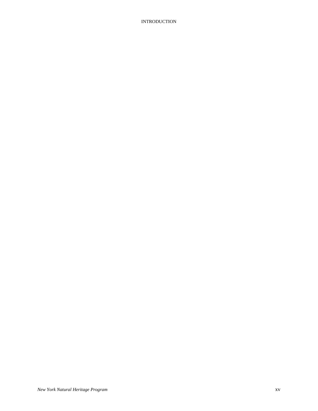# INTRODUCTION